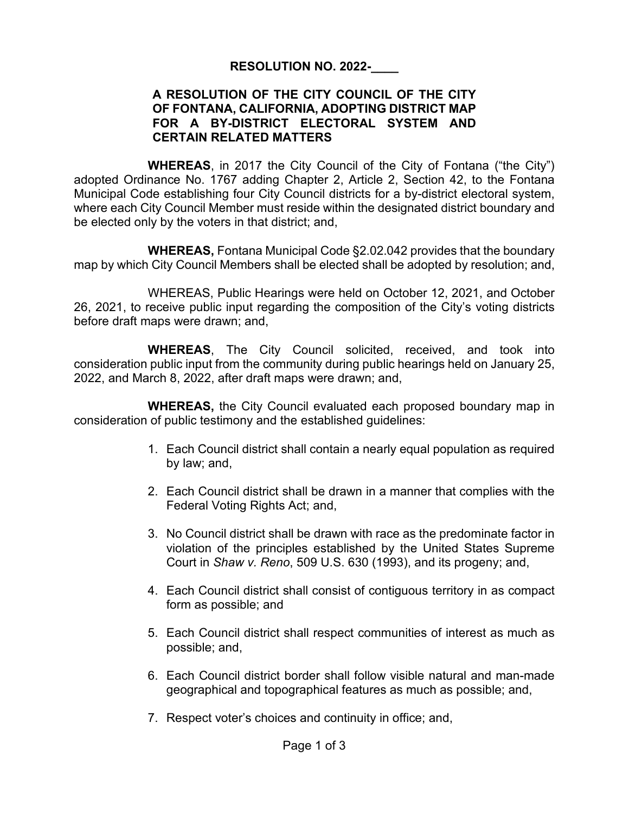### **RESOLUTION NO. 2022-\_\_\_\_**

### **A RESOLUTION OF THE CITY COUNCIL OF THE CITY OF FONTANA, CALIFORNIA, ADOPTING DISTRICT MAP FOR A BY-DISTRICT ELECTORAL SYSTEM AND CERTAIN RELATED MATTERS**

**WHEREAS**, in 2017 the City Council of the City of Fontana ("the City") adopted Ordinance No. 1767 adding Chapter 2, Article 2, Section 42, to the Fontana Municipal Code establishing four City Council districts for a by-district electoral system, where each City Council Member must reside within the designated district boundary and be elected only by the voters in that district; and,

**WHEREAS,** Fontana Municipal Code §2.02.042 provides that the boundary map by which City Council Members shall be elected shall be adopted by resolution; and,

WHEREAS, Public Hearings were held on October 12, 2021, and October 26, 2021, to receive public input regarding the composition of the City's voting districts before draft maps were drawn; and,

**WHEREAS**, The City Council solicited, received, and took into consideration public input from the community during public hearings held on January 25, 2022, and March 8, 2022, after draft maps were drawn; and,

**WHEREAS,** the City Council evaluated each proposed boundary map in consideration of public testimony and the established guidelines:

- 1. Each Council district shall contain a nearly equal population as required by law; and,
- 2. Each Council district shall be drawn in a manner that complies with the Federal Voting Rights Act; and,
- 3. No Council district shall be drawn with race as the predominate factor in violation of the principles established by the United States Supreme Court in *Shaw v. Reno*, 509 U.S. 630 (1993), and its progeny; and,
- 4. Each Council district shall consist of contiguous territory in as compact form as possible; and
- 5. Each Council district shall respect communities of interest as much as possible; and,
- 6. Each Council district border shall follow visible natural and man-made geographical and topographical features as much as possible; and,
- 7. Respect voter's choices and continuity in office; and,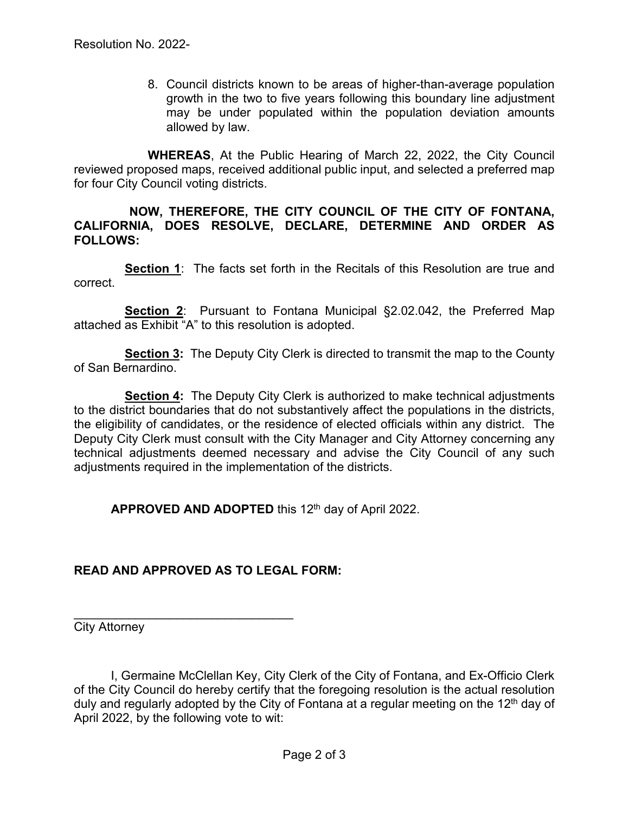8. Council districts known to be areas of higher-than-average population growth in the two to five years following this boundary line adjustment may be under populated within the population deviation amounts allowed by law.

**WHEREAS**, At the Public Hearing of March 22, 2022, the City Council reviewed proposed maps, received additional public input, and selected a preferred map for four City Council voting districts.

### **NOW, THEREFORE, THE CITY COUNCIL OF THE CITY OF FONTANA, CALIFORNIA, DOES RESOLVE, DECLARE, DETERMINE AND ORDER AS FOLLOWS:**

**Section 1:** The facts set forth in the Recitals of this Resolution are true and correct.

**Section 2**: Pursuant to Fontana Municipal §2.02.042, the Preferred Map attached as Exhibit "A" to this resolution is adopted.

**Section 3:** The Deputy City Clerk is directed to transmit the map to the County of San Bernardino.

**Section 4:** The Deputy City Clerk is authorized to make technical adjustments to the district boundaries that do not substantively affect the populations in the districts, the eligibility of candidates, or the residence of elected officials within any district. The Deputy City Clerk must consult with the City Manager and City Attorney concerning any technical adjustments deemed necessary and advise the City Council of any such adjustments required in the implementation of the districts.

APPROVED AND ADOPTED this 12<sup>th</sup> day of April 2022.

## **READ AND APPROVED AS TO LEGAL FORM:**

\_\_\_\_\_\_\_\_\_\_\_\_\_\_\_\_\_\_\_\_\_\_\_\_\_\_\_\_\_\_\_\_

City Attorney

I, Germaine McClellan Key, City Clerk of the City of Fontana, and Ex-Officio Clerk of the City Council do hereby certify that the foregoing resolution is the actual resolution duly and regularly adopted by the City of Fontana at a regular meeting on the 12<sup>th</sup> day of April 2022, by the following vote to wit: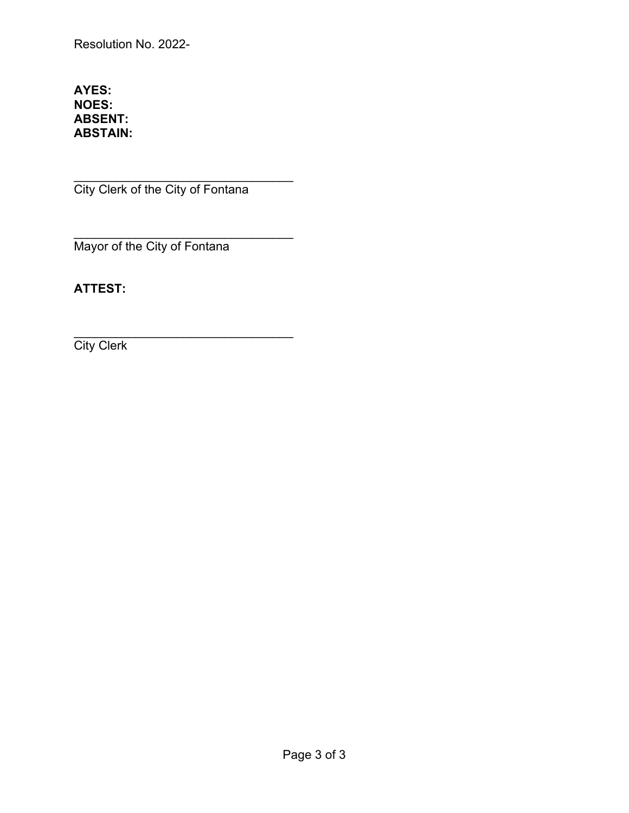Resolution No. 2022-

### **AYES: NOES: ABSENT: ABSTAIN:**

\_\_\_\_\_\_\_\_\_\_\_\_\_\_\_\_\_\_\_\_\_\_\_\_\_\_\_\_\_\_\_\_ City Clerk of the City of Fontana

\_\_\_\_\_\_\_\_\_\_\_\_\_\_\_\_\_\_\_\_\_\_\_\_\_\_\_\_\_\_\_\_ Mayor of the City of Fontana

# **ATTEST:**

\_\_\_\_\_\_\_\_\_\_\_\_\_\_\_\_\_\_\_\_\_\_\_\_\_\_\_\_\_\_\_\_ **City Clerk**